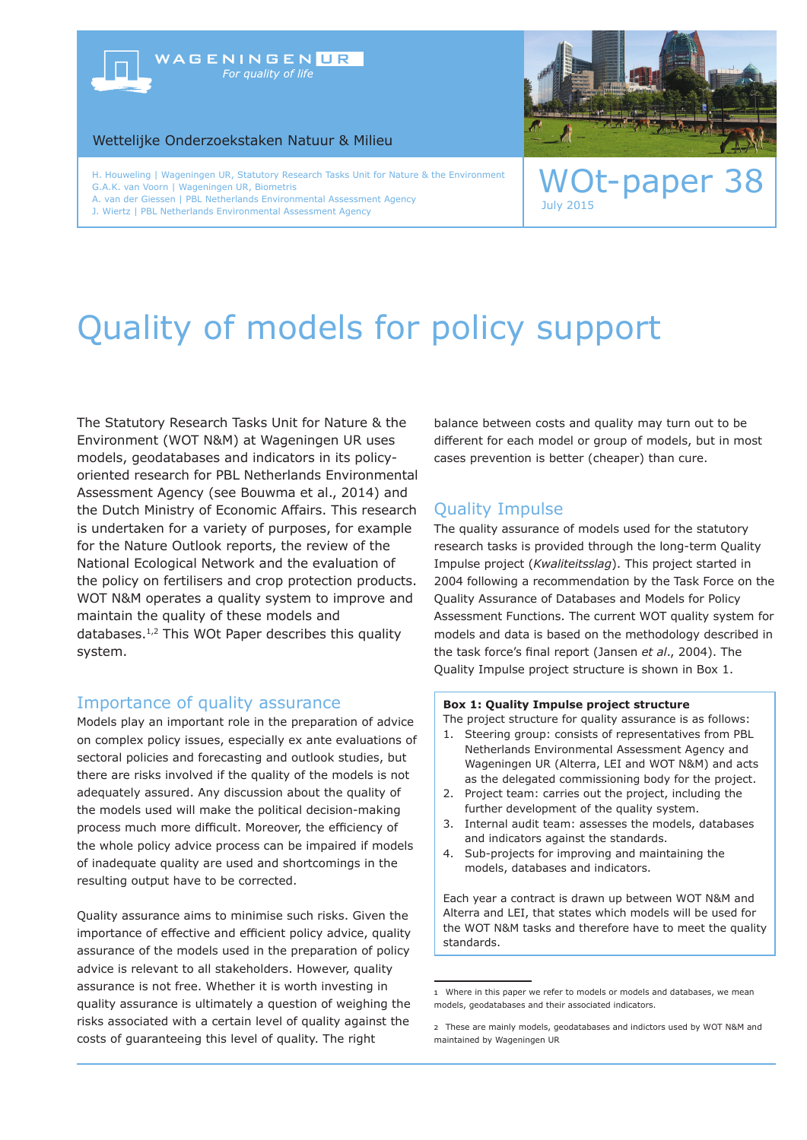## WAGENINGENUR For quality of life

Wettelijke Onderzoekstaken Natuur & Milieu

H. Houweling | Wageningen UR, Statutory Research Tasks Unit for Nature & the Environment<br>G.A.K. van Voorn | Wageningen UR, Biometris G.A.K. van Voorn | Wageningen UR, Biometris A. van der Giessen | PBL Netherlands Environmental Assessment Agency

J. Wiertz | PBL Netherlands Environmental Assessment Agency



July 2015

# Quality of models for policy support

The Statutory Research Tasks Unit for Nature & the Environment (WOT N&M) at Wageningen UR uses models, geodatabases and indicators in its policyoriented research for PBL Netherlands Environmental Assessment Agency (see Bouwma et al., 2014) and the Dutch Ministry of Economic Affairs. This research is undertaken for a variety of purposes, for example for the Nature Outlook reports, the review of the National Ecological Network and the evaluation of the policy on fertilisers and crop protection products. WOT N&M operates a quality system to improve and maintain the quality of these models and databases.1,2 This WOt Paper describes this quality system.

## Importance of quality assurance

Models play an important role in the preparation of advice on complex policy issues, especially ex ante evaluations of sectoral policies and forecasting and outlook studies, but there are risks involved if the quality of the models is not adequately assured. Any discussion about the quality of the models used will make the political decision-making process much more difficult. Moreover, the efficiency of the whole policy advice process can be impaired if models of inadequate quality are used and shortcomings in the resulting output have to be corrected.

Quality assurance aims to minimise such risks. Given the importance of effective and efficient policy advice, quality assurance of the models used in the preparation of policy advice is relevant to all stakeholders. However, quality assurance is not free. Whether it is worth investing in quality assurance is ultimately a question of weighing the risks associated with a certain level of quality against the costs of guaranteeing this level of quality. The right

balance between costs and quality may turn out to be different for each model or group of models, but in most cases prevention is better (cheaper) than cure.

## Quality Impulse

The quality assurance of models used for the statutory research tasks is provided through the long-term Quality Impulse project (*Kwaliteitsslag*). This project started in 2004 following a recommendation by the Task Force on the Quality Assurance of Databases and Models for Policy Assessment Functions. The current WOT quality system for models and data is based on the methodology described in the task force's final report (Jansen *et al*., 2004). The Quality Impulse project structure is shown in Box 1.

#### **Box 1: Quality Impulse project structure**

The project structure for quality assurance is as follows:

- 1. Steering group: consists of representatives from PBL Netherlands Environmental Assessment Agency and Wageningen UR (Alterra, LEI and WOT N&M) and acts as the delegated commissioning body for the project.
- 2. Project team: carries out the project, including the further development of the quality system.
- 3. Internal audit team: assesses the models, databases and indicators against the standards.
- 4. Sub-projects for improving and maintaining the models, databases and indicators.

Each year a contract is drawn up between WOT N&M and Alterra and LEI, that states which models will be used for the WOT N&M tasks and therefore have to meet the quality standards.

<sup>1</sup> Where in this paper we refer to models or models and databases, we mean models, geodatabases and their associated indicators.

<sup>2</sup> These are mainly models, geodatabases and indictors used by WOT N&M and maintained by Wageningen UR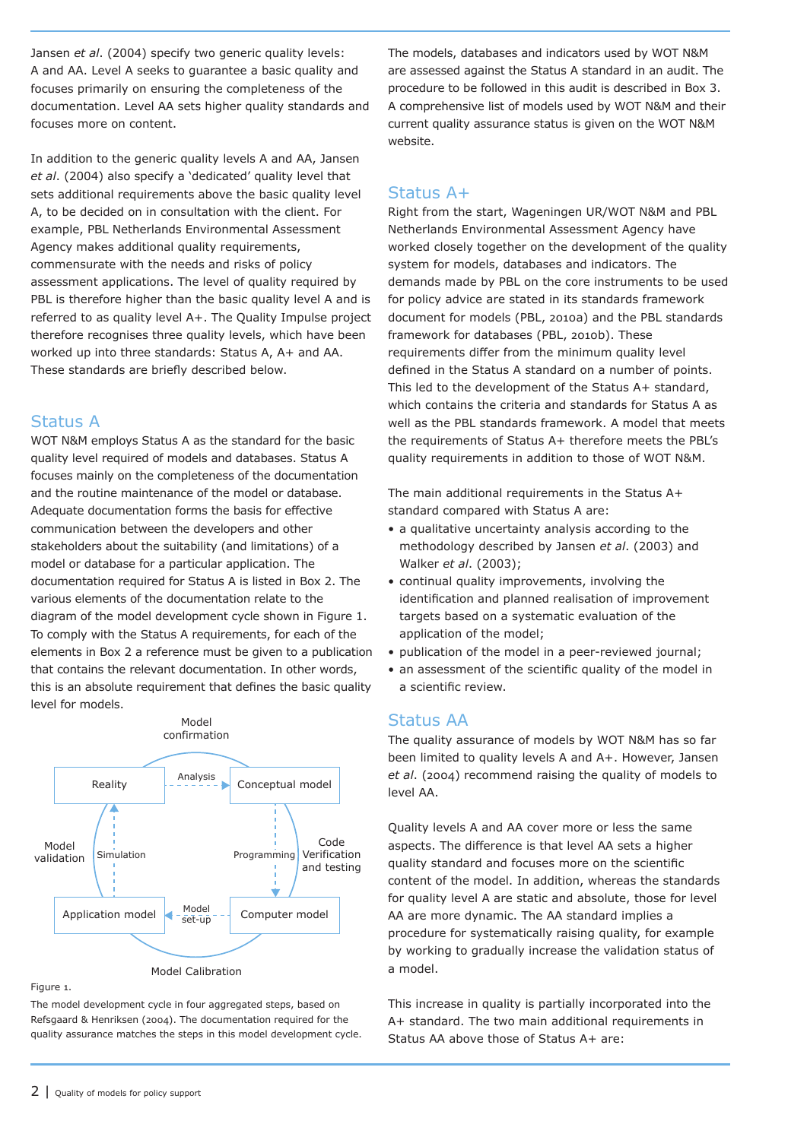Jansen *et al*. (2004) specify two generic quality levels: A and AA. Level A seeks to guarantee a basic quality and focuses primarily on ensuring the completeness of the documentation. Level AA sets higher quality standards and focuses more on content.

In addition to the generic quality levels A and AA, Jansen *et al*. (2004) also specify a 'dedicated' quality level that sets additional requirements above the basic quality level A, to be decided on in consultation with the client. For example, PBL Netherlands Environmental Assessment Agency makes additional quality requirements, commensurate with the needs and risks of policy assessment applications. The level of quality required by PBL is therefore higher than the basic quality level A and is referred to as quality level A+. The Quality Impulse project therefore recognises three quality levels, which have been worked up into three standards: Status A, A+ and AA. These standards are briefly described below.

## Status A

WOT N&M employs Status A as the standard for the basic quality level required of models and databases. Status A focuses mainly on the completeness of the documentation and the routine maintenance of the model or database. Adequate documentation forms the basis for effective communication between the developers and other stakeholders about the suitability (and limitations) of a model or database for a particular application. The documentation required for Status A is listed in Box 2. The various elements of the documentation relate to the diagram of the model development cycle shown in Figure 1. To comply with the Status A requirements, for each of the elements in Box 2 a reference must be given to a publication that contains the relevant documentation. In other words, this is an absolute requirement that defines the basic quality level for models.



#### Figure 1.

The model development cycle in four aggregated steps, based on Refsgaard & Henriksen (2004). The documentation required for the quality assurance matches the steps in this model development cycle. The models, databases and indicators used by WOT N&M are assessed against the Status A standard in an audit. The procedure to be followed in this audit is described in Box 3. A comprehensive list of models used by WOT N&M and their current quality assurance status is given on the WOT N&M website.

## Status A+

Right from the start, Wageningen UR/WOT N&M and PBL Netherlands Environmental Assessment Agency have worked closely together on the development of the quality system for models, databases and indicators. The demands made by PBL on the core instruments to be used for policy advice are stated in its standards framework document for models (PBL, 2010a) and the PBL standards framework for databases (PBL, 2010b). These requirements differ from the minimum quality level defined in the Status A standard on a number of points. This led to the development of the Status A+ standard, which contains the criteria and standards for Status A as well as the PBL standards framework. A model that meets the requirements of Status A+ therefore meets the PBL's quality requirements in addition to those of WOT N&M.

The main additional requirements in the Status A+ standard compared with Status A are:

- a qualitative uncertainty analysis according to the methodology described by Jansen *et al*. (2003) and Walker *et al*. (2003);
- continual quality improvements, involving the identification and planned realisation of improvement targets based on a systematic evaluation of the application of the model;
- publication of the model in a peer-reviewed journal;
- an assessment of the scientific quality of the model in a scientific review.

## Status AA

The quality assurance of models by WOT N&M has so far been limited to quality levels A and A+. However, Jansen *et al*. (2004) recommend raising the quality of models to level AA.

Quality levels A and AA cover more or less the same aspects. The difference is that level AA sets a higher quality standard and focuses more on the scientific content of the model. In addition, whereas the standards for quality level A are static and absolute, those for level AA are more dynamic. The AA standard implies a procedure for systematically raising quality, for example by working to gradually increase the validation status of a model.

This increase in quality is partially incorporated into the A+ standard. The two main additional requirements in Status AA above those of Status A+ are: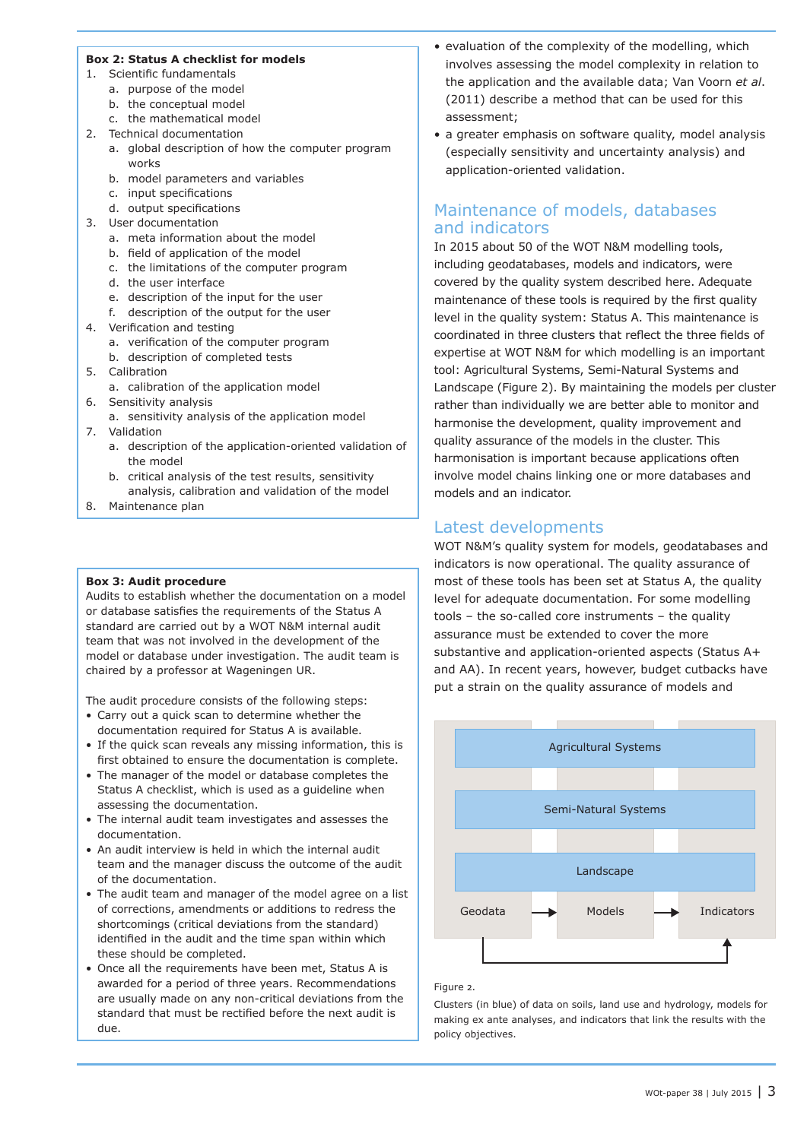#### **Box 2: Status A checklist for models**

- 1. Scientific fundamentals
	- a. purpose of the model
	- b. the conceptual model
	- c. the mathematical model
- 2. Technical documentation
	- a. global description of how the computer program works
	- b. model parameters and variables
	- c. input specifications
	- d. output specifications
- 3. User documentation
	- a. meta information about the model
	- b. field of application of the model
	- c. the limitations of the computer program
	- d. the user interface
	- e. description of the input for the user
	- f. description of the output for the user
- 4. Verification and testing
	- a. verification of the computer program
	- b. description of completed tests
- 5. Calibration
	- a. calibration of the application model
- 6. Sensitivity analysis
- a. sensitivity analysis of the application model 7. Validation
	- a. description of the application-oriented validation of the model
	- b. critical analysis of the test results, sensitivity analysis, calibration and validation of the model
- 8. Maintenance plan

#### **Box 3: Audit procedure**

Audits to establish whether the documentation on a model or database satisfies the requirements of the Status A standard are carried out by a WOT N&M internal audit team that was not involved in the development of the model or database under investigation. The audit team is chaired by a professor at Wageningen UR.

The audit procedure consists of the following steps:

- Carry out a quick scan to determine whether the documentation required for Status A is available.
- If the quick scan reveals any missing information, this is first obtained to ensure the documentation is complete.
- The manager of the model or database completes the Status A checklist, which is used as a guideline when assessing the documentation.
- The internal audit team investigates and assesses the documentation.
- An audit interview is held in which the internal audit team and the manager discuss the outcome of the audit of the documentation.
- The audit team and manager of the model agree on a list of corrections, amendments or additions to redress the shortcomings (critical deviations from the standard) identified in the audit and the time span within which these should be completed.
- Once all the requirements have been met, Status A is awarded for a period of three years. Recommendations are usually made on any non-critical deviations from the standard that must be rectified before the next audit is due.
- evaluation of the complexity of the modelling, which involves assessing the model complexity in relation to the application and the available data; Van Voorn *et al*. (2011) describe a method that can be used for this assessment;
- a greater emphasis on software quality, model analysis (especially sensitivity and uncertainty analysis) and application-oriented validation.

## Maintenance of models, databases and indicators

In 2015 about 50 of the WOT N&M modelling tools, including geodatabases, models and indicators, were covered by the quality system described here. Adequate maintenance of these tools is required by the first quality level in the quality system: Status A. This maintenance is coordinated in three clusters that reflect the three fields of expertise at WOT N&M for which modelling is an important tool: Agricultural Systems, Semi-Natural Systems and Landscape (Figure 2). By maintaining the models per cluster rather than individually we are better able to monitor and harmonise the development, quality improvement and quality assurance of the models in the cluster. This harmonisation is important because applications often involve model chains linking one or more databases and models and an indicator.

## Latest developments

WOT N&M's quality system for models, geodatabases and indicators is now operational. The quality assurance of most of these tools has been set at Status A, the quality level for adequate documentation. For some modelling tools – the so-called core instruments – the quality assurance must be extended to cover the more substantive and application-oriented aspects (Status A+ and AA). In recent years, however, budget cutbacks have put a strain on the quality assurance of models and



#### Figure 2.

Clusters (in blue) of data on soils, land use and hydrology, models for making ex ante analyses, and indicators that link the results with the policy objectives.